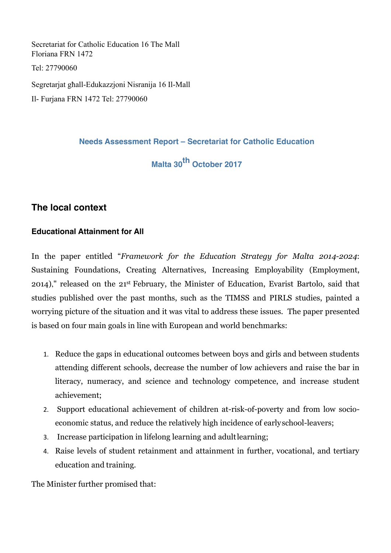Secretariat for Catholic Education 16 The Mall Floriana FRN 1472 Tel: 27790060 Segretarjat għall-Edukazzjoni Nisranija 16 Il-Mall Il- Furjana FRN 1472 Tel: 27790060

**Needs Assessment Report – Secretariat for Catholic Education**

**Malta 30th October 2017**

# **The local context**

## **Educational Attainment for All**

In the paper entitled "*Framework for the Education Strategy for Malta 2014-2024*: Sustaining Foundations, Creating Alternatives, Increasing Employability (Employment, 2014)," released on the 21st February, the Minister of Education, Evarist Bartolo, said that studies published over the past months, such as the TIMSS and PIRLS studies, painted a worrying picture of the situation and it was vital to address these issues. The paper presented is based on four main goals in line with European and world benchmarks:

- 1. Reduce the gaps in educational outcomes between boys and girls and between students attending different schools, decrease the number of low achievers and raise the bar in literacy, numeracy, and science and technology competence, and increase student achievement;
- 2. Support educational achievement of children at-risk-of-poverty and from low socioeconomic status, and reduce the relatively high incidence of earlyschool-leavers;
- 3. Increase participation in lifelong learning and adultlearning;
- 4. Raise levels of student retainment and attainment in further, vocational, and tertiary education and training.

The Minister further promised that: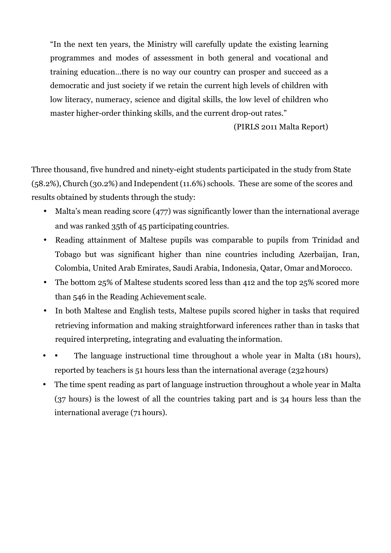"In the next ten years, the Ministry will carefully update the existing learning programmes and modes of assessment in both general and vocational and training education…there is no way our country can prosper and succeed as a democratic and just society if we retain the current high levels of children with low literacy, numeracy, science and digital skills, the low level of children who master higher-order thinking skills, and the current drop-out rates."

(PIRLS 2011 Malta Report)

Three thousand, five hundred and ninety-eight students participated in the study from State (58.2%), Church (30.2%) and Independent(11.6%) schools. These are some of the scores and results obtained by students through the study:

- Malta's mean reading score (477) was significantly lower than the international average and was ranked 35th of 45 participating countries.
- Reading attainment of Maltese pupils was comparable to pupils from Trinidad and Tobago but was significant higher than nine countries including Azerbaijan, Iran, Colombia, United Arab Emirates, Saudi Arabia, Indonesia, Qatar, Omar andMorocco.
- The bottom 25% of Maltese students scored less than 412 and the top 25% scored more than 546 in the Reading Achievement scale.
- In both Maltese and English tests, Maltese pupils scored higher in tasks that required retrieving information and making straightforward inferences rather than in tasks that required interpreting, integrating and evaluating the information.
- The language instructional time throughout a whole year in Malta (181 hours), reported by teachers is 51 hours less than the international average (232hours)
- The time spent reading as part of language instruction throughout a whole year in Malta (37 hours) is the lowest of all the countries taking part and is 34 hours less than the international average (71 hours).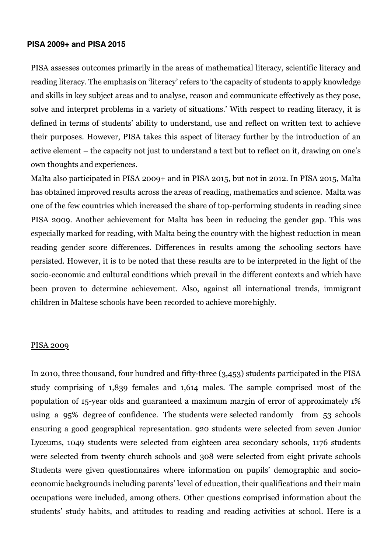#### **PISA 2009+ and PISA 2015**

PISA assesses outcomes primarily in the areas of mathematical literacy, scientific literacy and reading literacy. The emphasis on 'literacy' refers to 'the capacity of students to apply knowledge and skills in key subject areas and to analyse, reason and communicate effectively as they pose, solve and interpret problems in a variety of situations.' With respect to reading literacy, it is defined in terms of students' ability to understand, use and reflect on written text to achieve their purposes. However, PISA takes this aspect of literacy further by the introduction of an active element – the capacity not just to understand a text but to reflect on it, drawing on one's own thoughts and experiences.

Malta also participated in PISA 2009+ and in PISA 2015, but not in 2012. In PISA 2015, Malta has obtained improved results across the areas of reading, mathematics and science. Malta was one of the few countries which increased the share of top-performing students in reading since PISA 2009. Another achievement for Malta has been in reducing the gender gap. This was especially marked for reading, with Malta being the country with the highest reduction in mean reading gender score differences. Differences in results among the schooling sectors have persisted. However, it is to be noted that these results are to be interpreted in the light of the socio-economic and cultural conditions which prevail in the different contexts and which have been proven to determine achievement. Also, against all international trends, immigrant children in Maltese schools have been recorded to achieve morehighly.

#### PISA 2009

In 2010, three thousand, four hundred and fifty-three (3,453) students participated in the PISA study comprising of 1,839 females and 1,614 males. The sample comprised most of the population of 15-year olds and guaranteed a maximum margin of error of approximately 1% using a 95% degree of confidence. The students were selected randomly from 53 schools ensuring a good geographical representation. 920 students were selected from seven Junior Lyceums, 1049 students were selected from eighteen area secondary schools, 1176 students were selected from twenty church schools and 308 were selected from eight private schools Students were given questionnaires where information on pupils' demographic and socioeconomic backgrounds including parents' level of education, their qualifications and their main occupations were included, among others. Other questions comprised information about the students' study habits, and attitudes to reading and reading activities at school. Here is a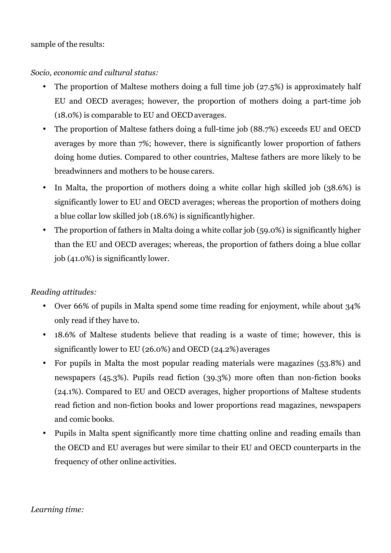## sample of the results:

## *Socio, economic and cultural status:*

- The proportion of Maltese mothers doing a full time job (27.5%) is approximately half EU and OECD averages; however, the proportion of mothers doing a part-time job (18.0%) is comparable to EU and OECDaverages.
- The proportion of Maltese fathers doing a full-time job (88.7%) exceeds EU and OECD averages by more than 7%; however, there is significantly lower proportion of fathers doing home duties. Compared to other countries, Maltese fathers are more likely to be breadwinners and mothers to be house carers.
- In Malta, the proportion of mothers doing a white collar high skilled job (38.6%) is significantly lower to EU and OECD averages; whereas the proportion of mothers doing a blue collar low skilled job (18.6%) is significantlyhigher.
- The proportion of fathers in Malta doing a white collar job (59.0%) is significantly higher than the EU and OECD averages; whereas, the proportion of fathers doing a blue collar job (41.0%) is significantly lower.

## *Reading attitudes:*

- Over 66% of pupils in Malta spend some time reading for enjoyment, while about 34% only read if they have to.
- 18.6% of Maltese students believe that reading is a waste of time; however, this is significantly lower to EU (26.0%) and OECD (24.2%)averages
- For pupils in Malta the most popular reading materials were magazines (53.8%) and newspapers (45.3%). Pupils read fiction (39.3%) more often than non-fiction books (24.1%). Compared to EU and OECD averages, higher proportions of Maltese students read fiction and non-fiction books and lower proportions read magazines, newspapers and comic books.
- Pupils in Malta spent significantly more time chatting online and reading emails than the OECD and EU averages but were similar to their EU and OECD counterparts in the frequency of other online activities.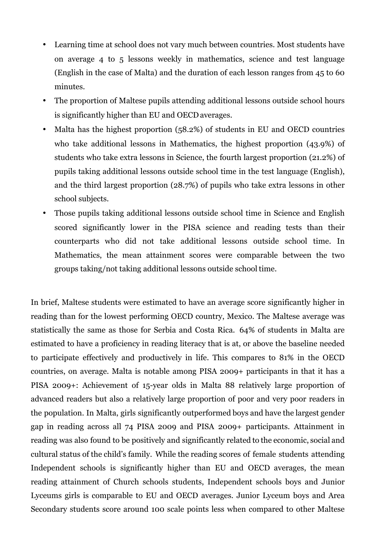- Learning time at school does not vary much between countries. Most students have on average 4 to 5 lessons weekly in mathematics, science and test language (English in the case of Malta) and the duration of each lesson ranges from 45 to 60 minutes.
- The proportion of Maltese pupils attending additional lessons outside school hours is significantly higher than EU and OECDaverages.
- Malta has the highest proportion (58.2%) of students in EU and OECD countries who take additional lessons in Mathematics, the highest proportion (43.9%) of students who take extra lessons in Science, the fourth largest proportion (21.2%) of pupils taking additional lessons outside school time in the test language (English), and the third largest proportion (28.7%) of pupils who take extra lessons in other school subjects.
- Those pupils taking additional lessons outside school time in Science and English scored significantly lower in the PISA science and reading tests than their counterparts who did not take additional lessons outside school time. In Mathematics, the mean attainment scores were comparable between the two groups taking/not taking additional lessons outside school time.

In brief, Maltese students were estimated to have an average score significantly higher in reading than for the lowest performing OECD country, Mexico. The Maltese average was statistically the same as those for Serbia and Costa Rica. 64% of students in Malta are estimated to have a proficiency in reading literacy that is at, or above the baseline needed to participate effectively and productively in life. This compares to 81% in the OECD countries, on average. Malta is notable among PISA 2009+ participants in that it has a PISA 2009+: Achievement of 15-year olds in Malta 88 relatively large proportion of advanced readers but also a relatively large proportion of poor and very poor readers in the population. In Malta, girls significantly outperformed boys and have the largest gender gap in reading across all 74 PISA 2009 and PISA 2009+ participants. Attainment in reading was also found to be positively and significantly related to the economic, social and cultural status of the child's family. While the reading scores of female students attending Independent schools is significantly higher than EU and OECD averages, the mean reading attainment of Church schools students, Independent schools boys and Junior Lyceums girls is comparable to EU and OECD averages. Junior Lyceum boys and Area Secondary students score around 100 scale points less when compared to other Maltese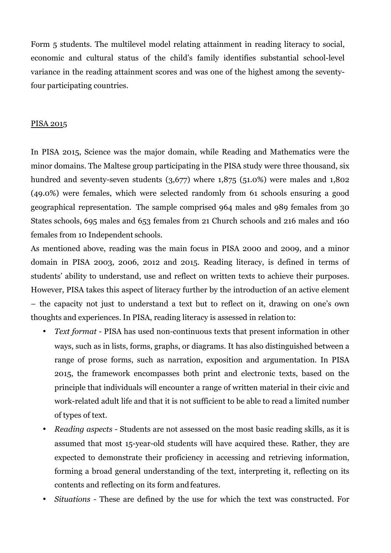Form 5 students. The multilevel model relating attainment in reading literacy to social, economic and cultural status of the child's family identifies substantial school-level variance in the reading attainment scores and was one of the highest among the seventyfour participating countries.

### PISA 2015

In PISA 2015, Science was the major domain, while Reading and Mathematics were the minor domains. The Maltese group participating in the PISA study were three thousand, six hundred and seventy-seven students (3,677) where 1,875 (51.0%) were males and 1,802 (49.0%) were females, which were selected randomly from 61 schools ensuring a good geographical representation. The sample comprised 964 males and 989 females from 30 States schools, 695 males and 653 females from 21 Church schools and 216 males and 160 females from 10 Independent schools.

As mentioned above, reading was the main focus in PISA 2000 and 2009, and a minor domain in PISA 2003, 2006, 2012 and 2015. Reading literacy, is defined in terms of students' ability to understand, use and reflect on written texts to achieve their purposes. However, PISA takes this aspect of literacy further by the introduction of an active element – the capacity not just to understand a text but to reflect on it, drawing on one's own thoughts and experiences. In PISA, reading literacy is assessed in relation to:

- *Text format*  PISA has used non-continuous texts that present information in other ways, such as in lists, forms, graphs, or diagrams. It has also distinguished between a range of prose forms, such as narration, exposition and argumentation. In PISA 2015, the framework encompasses both print and electronic texts, based on the principle that individuals will encounter a range of written material in their civic and work-related adult life and that it is not sufficient to be able to read a limited number of types of text.
- *Reading aspects*  Students are not assessed on the most basic reading skills, as it is assumed that most 15-year-old students will have acquired these. Rather, they are expected to demonstrate their proficiency in accessing and retrieving information, forming a broad general understanding of the text, interpreting it, reflecting on its contents and reflecting on its form andfeatures.
- *Situations*  These are defined by the use for which the text was constructed. For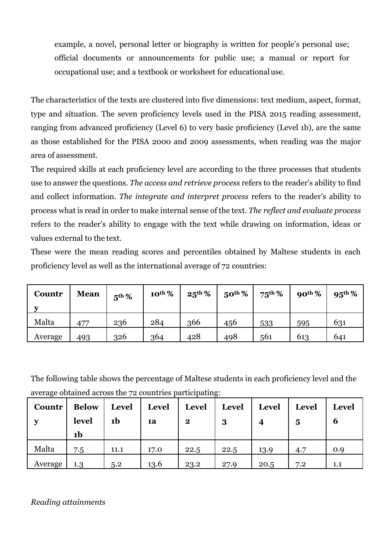example, a novel, personal letter or biography is written for people's personal use; official documents or announcements for public use; a manual or report for occupational use; and a textbook or worksheet for educationaluse.

The characteristics of the texts are clustered into five dimensions: text medium, aspect, format, type and situation. The seven proficiency levels used in the PISA 2015 reading assessment, ranging from advanced proficiency (Level 6) to very basic proficiency (Level 1b), are the same as those established for the PISA 2000 and 2009 assessments, when reading was the major area of assessment.

The required skills at each proficiency level are according to the three processes that students use to answer the questions. *The access and retrieve process* refers to the reader's ability to find and collect information. *The integrate and interpret process* refers to the reader's ability to process what is read in order to make internal sense of the text. *The reflect and evaluate process*  refers to the reader's ability to engage with the text while drawing on information, ideas or values external to the text.

These were the mean reading scores and percentiles obtained by Maltese students in each proficiency level as well as the international average of 72 countries:

| Countr  | <b>Mean</b> | $5th$ % | $10^{th}\%$ | $25^{\rm th}\%$ | $50th$ % | $75^{th}$ % | $90th$ % | $95^{\rm th}\%$ |
|---------|-------------|---------|-------------|-----------------|----------|-------------|----------|-----------------|
| Malta   | 477         | 236     | 284         | 366             | 456      | 533         | 595      | 631             |
| Average | 493         | 326     | 364         | 428             | 498      | 561         | 613      | 641             |

The following table shows the percentage of Maltese students in each proficiency level and the average obtained across the 72 countries participating:

| <b>Countr</b> | <b>Below</b><br>level | <b>Level</b><br>1 <sub>b</sub> | Level<br>1a | <b>Level</b><br>$\mathbf{2}$ | <b>Level</b><br>3 | <b>Level</b> | <b>Level</b><br>5 | <b>Level</b><br>6 |
|---------------|-----------------------|--------------------------------|-------------|------------------------------|-------------------|--------------|-------------------|-------------------|
|               | 1b                    |                                |             |                              |                   |              |                   |                   |
| Malta         | 7.5                   | 11.1                           | 17.0        | 22.5                         | 22.5              | 13.9         | 4.7               | 0.9               |
| Average       | 1.3                   | 5.2                            | 13.6        | 23.2                         | 27.9              | 20.5         | 7.2               | 1.1               |

## *Reading attainments*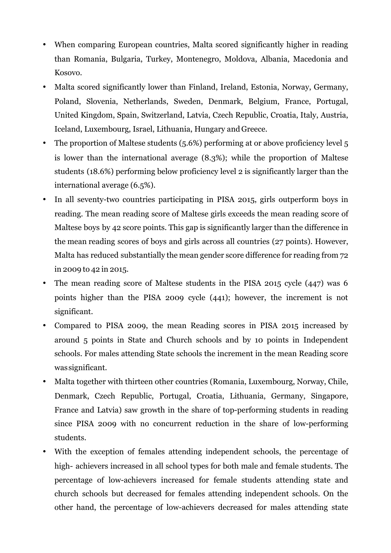- When comparing European countries, Malta scored significantly higher in reading than Romania, Bulgaria, Turkey, Montenegro, Moldova, Albania, Macedonia and Kosovo.
- Malta scored significantly lower than Finland, Ireland, Estonia, Norway, Germany, Poland, Slovenia, Netherlands, Sweden, Denmark, Belgium, France, Portugal, United Kingdom, Spain, Switzerland, Latvia, Czech Republic, Croatia, Italy, Austria, Iceland, Luxembourg, Israel, Lithuania, Hungary and Greece.
- The proportion of Maltese students (5.6%) performing at or above proficiency level 5 is lower than the international average (8.3%); while the proportion of Maltese students (18.6%) performing below proficiency level 2 is significantly larger than the international average (6.5%).
- In all seventy-two countries participating in PISA 2015, girls outperform boys in reading. The mean reading score of Maltese girls exceeds the mean reading score of Maltese boys by 42 score points. This gap is significantly larger than the difference in the mean reading scores of boys and girls across all countries (27 points). However, Malta has reduced substantially the mean gender score difference for reading from 72 in 2009 to 42 in 2015.
- The mean reading score of Maltese students in the PISA 2015 cycle (447) was 6 points higher than the PISA 2009 cycle (441); however, the increment is not significant.
- Compared to PISA 2009, the mean Reading scores in PISA 2015 increased by around 5 points in State and Church schools and by 10 points in Independent schools. For males attending State schools the increment in the mean Reading score was significant.
- Malta together with thirteen other countries (Romania, Luxembourg, Norway, Chile, Denmark, Czech Republic, Portugal, Croatia, Lithuania, Germany, Singapore, France and Latvia) saw growth in the share of top-performing students in reading since PISA 2009 with no concurrent reduction in the share of low-performing students.
- With the exception of females attending independent schools, the percentage of high- achievers increased in all school types for both male and female students. The percentage of low-achievers increased for female students attending state and church schools but decreased for females attending independent schools. On the other hand, the percentage of low-achievers decreased for males attending state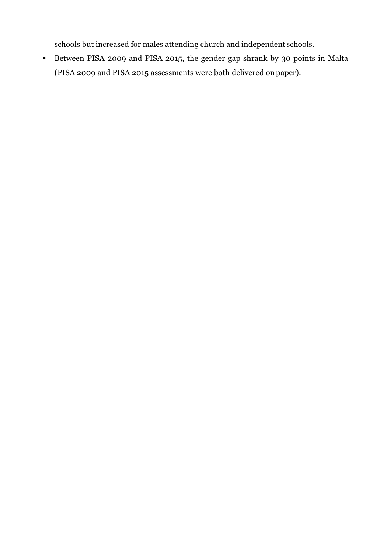schools but increased for males attending church and independent schools.

• Between PISA 2009 and PISA 2015, the gender gap shrank by 30 points in Malta (PISA 2009 and PISA 2015 assessments were both delivered on paper).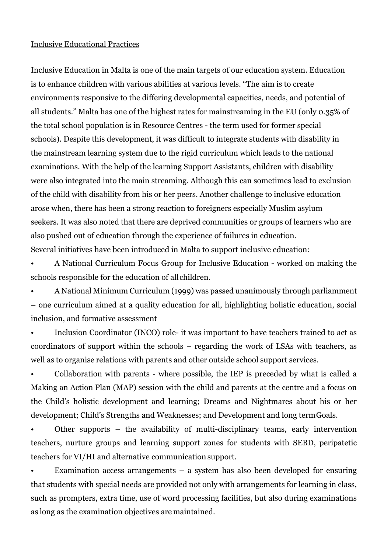### Inclusive Educational Practices

Inclusive Education in Malta is one of the main targets of our education system. Education is to enhance children with various abilities at various levels. "The aim is to create environments responsive to the differing developmental capacities, needs, and potential of all students." Malta has one of the highest rates for mainstreaming in the EU (only 0.35% of the total school population is in Resource Centres - the term used for former special schools). Despite this development, it was difficult to integrate students with disability in the mainstream learning system due to the rigid curriculum which leads to the national examinations. With the help of the learning Support Assistants, children with disability were also integrated into the main streaming. Although this can sometimes lead to exclusion of the child with disability from his or her peers. Another challenge to inclusive education arose when, there has been a strong reaction to foreigners especially Muslim asylum seekers. It was also noted that there are deprived communities or groups of learners who are also pushed out of education through the experience of failures in education. Several initiatives have been introduced in Malta to support inclusive education:

• A National Curriculum Focus Group for Inclusive Education - worked on making the schools responsible for the education of allchildren.

• A National Minimum Curriculum (1999) was passed unanimously through parliamment – one curriculum aimed at a quality education for all, highlighting holistic education, social inclusion, and formative assessment

• Inclusion Coordinator (INCO) role- it was important to have teachers trained to act as coordinators of support within the schools – regarding the work of LSAs with teachers, as well as to organise relations with parents and other outside school support services.

• Collaboration with parents - where possible, the IEP is preceded by what is called a Making an Action Plan (MAP) session with the child and parents at the centre and a focus on the Child's holistic development and learning; Dreams and Nightmares about his or her development; Child's Strengths and Weaknesses; and Development and long termGoals.

• Other supports – the availability of multi-disciplinary teams, early intervention teachers, nurture groups and learning support zones for students with SEBD, peripatetic teachers for VI/HI and alternative communication support.

Examination access arrangements  $-$  a system has also been developed for ensuring that students with special needs are provided not only with arrangements for learning in class, such as prompters, extra time, use of word processing facilities, but also during examinations as long as the examination objectives are maintained.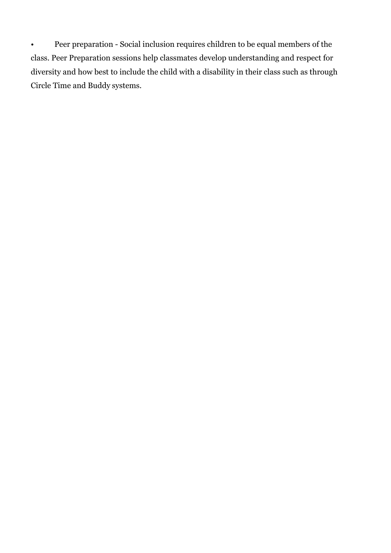• Peer preparation - Social inclusion requires children to be equal members of the class. Peer Preparation sessions help classmates develop understanding and respect for diversity and how best to include the child with a disability in their class such as through Circle Time and Buddy systems.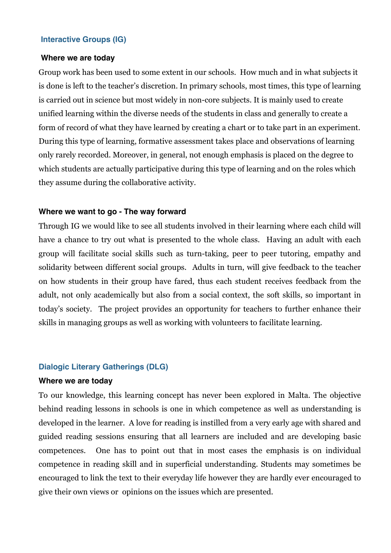## **Interactive Groups (IG)**

### **Where we are today**

Group work has been used to some extent in our schools. How much and in what subjects it is done is left to the teacher's discretion. In primary schools, most times, this type of learning is carried out in science but most widely in non-core subjects. It is mainly used to create unified learning within the diverse needs of the students in class and generally to create a form of record of what they have learned by creating a chart or to take part in an experiment. During this type of learning, formative assessment takes place and observations of learning only rarely recorded. Moreover, in general, not enough emphasis is placed on the degree to which students are actually participative during this type of learning and on the roles which they assume during the collaborative activity.

#### **Where we want to go - The way forward**

Through IG we would like to see all students involved in their learning where each child will have a chance to try out what is presented to the whole class. Having an adult with each group will facilitate social skills such as turn-taking, peer to peer tutoring, empathy and solidarity between different social groups. Adults in turn, will give feedback to the teacher on how students in their group have fared, thus each student receives feedback from the adult, not only academically but also from a social context, the soft skills, so important in today's society. The project provides an opportunity for teachers to further enhance their skills in managing groups as well as working with volunteers to facilitate learning.

### **Dialogic Literary Gatherings (DLG)**

### **Where we are today**

To our knowledge, this learning concept has never been explored in Malta. The objective behind reading lessons in schools is one in which competence as well as understanding is developed in the learner. A love for reading is instilled from a very early age with shared and guided reading sessions ensuring that all learners are included and are developing basic competences. One has to point out that in most cases the emphasis is on individual competence in reading skill and in superficial understanding. Students may sometimes be encouraged to link the text to their everyday life however they are hardly ever encouraged to give their own views or opinions on the issues which are presented.